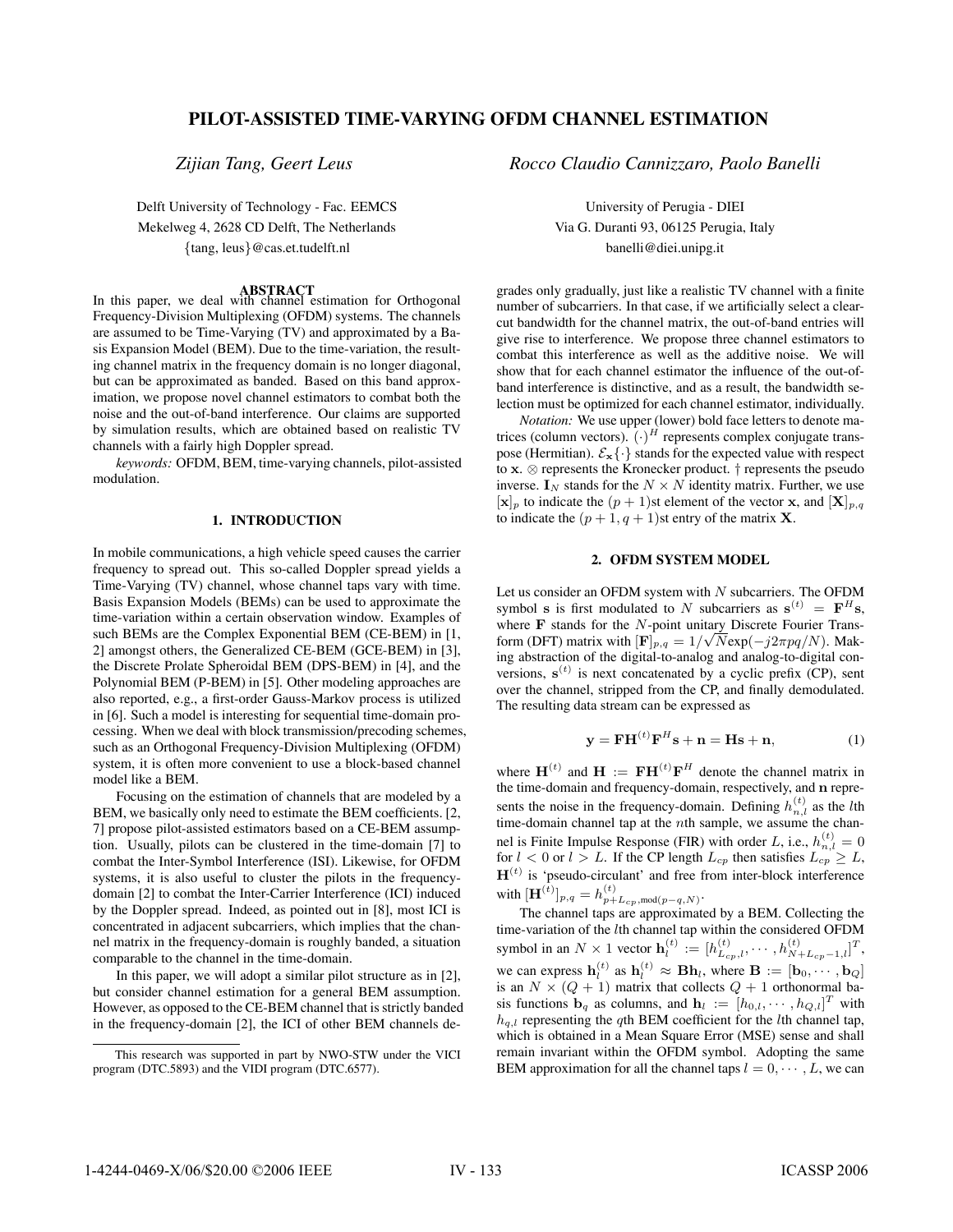# **PILOT-ASSISTED TIME-VARYING OFDM CHANNEL ESTIMATION**

*Zijian Tang, Geert Leus*

Delft University of Technology - Fac. EEMCS Mekelweg 4, 2628 CD Delft, The Netherlands {tang, leus}@cas.et.tudelft.nl

**ABSTRACT** In this paper, we deal with channel estimation for Orthogonal Frequency-Division Multiplexing (OFDM) systems. The channels are assumed to be Time-Varying (TV) and approximated by a Basis Expansion Model (BEM). Due to the time-variation, the resulting channel matrix in the frequency domain is no longer diagonal, but can be approximated as banded. Based on this band approximation, we propose novel channel estimators to combat both the noise and the out-of-band interference. Our claims are supported by simulation results, which are obtained based on realistic TV channels with a fairly high Doppler spread.

*keywords:* OFDM, BEM, time-varying channels, pilot-assisted modulation.

### **1. INTRODUCTION**

In mobile communications, a high vehicle speed causes the carrier frequency to spread out. This so-called Doppler spread yields a Time-Varying (TV) channel, whose channel taps vary with time. Basis Expansion Models (BEMs) can be used to approximate the time-variation within a certain observation window. Examples of such BEMs are the Complex Exponential BEM (CE-BEM) in [1, 2] amongst others, the Generalized CE-BEM (GCE-BEM) in [3], the Discrete Prolate Spheroidal BEM (DPS-BEM) in [4], and the Polynomial BEM (P-BEM) in [5]. Other modeling approaches are also reported, e.g., a first-order Gauss-Markov process is utilized in [6]. Such a model is interesting for sequential time-domain processing. When we deal with block transmission/precoding schemes, such as an Orthogonal Frequency-Division Multiplexing (OFDM) system, it is often more convenient to use a block-based channel model like a BEM.

Focusing on the estimation of channels that are modeled by a BEM, we basically only need to estimate the BEM coefficients. [2, 7] propose pilot-assisted estimators based on a CE-BEM assumption. Usually, pilots can be clustered in the time-domain [7] to combat the Inter-Symbol Interference (ISI). Likewise, for OFDM systems, it is also useful to cluster the pilots in the frequencydomain [2] to combat the Inter-Carrier Interference (ICI) induced by the Doppler spread. Indeed, as pointed out in [8], most ICI is concentrated in adjacent subcarriers, which implies that the channel matrix in the frequency-domain is roughly banded, a situation comparable to the channel in the time-domain.

In this paper, we will adopt a similar pilot structure as in [2], but consider channel estimation for a general BEM assumption. However, as opposed to the CE-BEM channel that is strictly banded in the frequency-domain [2], the ICI of other BEM channels de*Rocco Claudio Cannizzaro, Paolo Banelli*

University of Perugia - DIEI Via G. Duranti 93, 06125 Perugia, Italy banelli@diei.unipg.it

grades only gradually, just like a realistic TV channel with a finite number of subcarriers. In that case, if we artificially select a clearcut bandwidth for the channel matrix, the out-of-band entries will give rise to interference. We propose three channel estimators to combat this interference as well as the additive noise. We will show that for each channel estimator the influence of the out-ofband interference is distinctive, and as a result, the bandwidth selection must be optimized for each channel estimator, individually.

*Notation:* We use upper (lower) bold face letters to denote matrices (column vectors).  $(\cdot)^H$  represents complex conjugate transpose (Hermitian).  $\mathcal{E}_{\mathbf{x}}\{\cdot\}$  stands for the expected value with respect to **<sup>x</sup>**. <sup>⊗</sup> represents the Kronecker product. † represents the pseudo inverse.  $I_N$  stands for the  $N \times N$  identity matrix. Further, we use  $[\mathbf{x}]_p$  to indicate the  $(p+1)$ st element of the vector **x**, and  $[\mathbf{X}]_{p,q}$ to indicate the  $(p + 1, q + 1)$ st entry of the matrix **X**.

## **2. OFDM SYSTEM MODEL**

Let us consider an OFDM system with  $N$  subcarriers. The OFDM symbol **s** is first modulated to N subcarriers as  $\mathbf{s}^{(t)} = \mathbf{F}^H \mathbf{s}$ , where **F** stands for the N-point unitary Discrete Fourier Transform (DFT) matrix with  $[\mathbf{F}]_{p,q} = 1/\sqrt{N} \exp(-j2\pi pq/N)$ . Making abstraction of the digital-to-analog and analog-to-digital conversions,  $s^{(t)}$  is next concatenated by a cyclic prefix (CP), sent over the channel, stripped from the CP, and finally demodulated. The resulting data stream can be expressed as

$$
\mathbf{y} = \mathbf{F} \mathbf{H}^{(t)} \mathbf{F}^{H} \mathbf{s} + \mathbf{n} = \mathbf{H} \mathbf{s} + \mathbf{n}, \tag{1}
$$

where  $\mathbf{H}^{(t)}$  and  $\mathbf{H} := \mathbf{F}\mathbf{H}^{(t)}\mathbf{F}^H$  denote the channel matrix in the time-domain and frequency-domain, respectively, and **n** represents the noise in the frequency-domain. Defining  $h_{n,l}^{(t)}$  as the *l*th time-domain channel tap at the *n*th sample, we assume the channel is Finite Impulse Response (FIR) with order L, i.e.,  $h_{n,l}^{(t)} = 0$ for  $l < 0$  or  $l > L$ . If the CP length  $L_{cp}$  then satisfies  $L_{cp} \geq L$ ,  $\mathbf{H}^{(t)}$  is 'pseudo-circulant' and free from inter-block interference with  $[\mathbf{H}^{(\hat{t})}]_{p,q} = h_{p+L_{cp}, \text{mod}(p-q,N)}^{(t)}$ .

The channel taps are approximated by a BEM. Collecting the time-variation of the lth channel tap within the considered OFDM symbol in an  $N \times 1$  vector  $\mathbf{h}_l^{(t)} := [h_{L_{cp},l}^{(t)}, \cdots, h_{N+L_{cp}-1,l}^{(t)}]^T$ , we can express  $\mathbf{h}_l^{(t)}$  as  $\mathbf{h}_l^{(t)} \approx \mathbf{B} \mathbf{h}_l$ , where  $\mathbf{B} := [\mathbf{b}_0, \cdots, \mathbf{b}_Q]$ is an  $N \times (Q + 1)$  matrix that collects  $Q + 1$  orthonormal basis functions  $\mathbf{b}_q$  as columns, and  $\mathbf{h}_l := [h_{0,l}, \cdots, h_{Q,l}]^T$  with  $h_{q,l}$  representing the qth BEM coefficient for the lth channel tap, which is obtained in a Mean Square Error (MSE) sense and shall remain invariant within the OFDM symbol. Adopting the same BEM approximation for all the channel taps  $l = 0, \dots, L$ , we can

This research was supported in part by NWO-STW under the VICI program (DTC.5893) and the VIDI program (DTC.6577).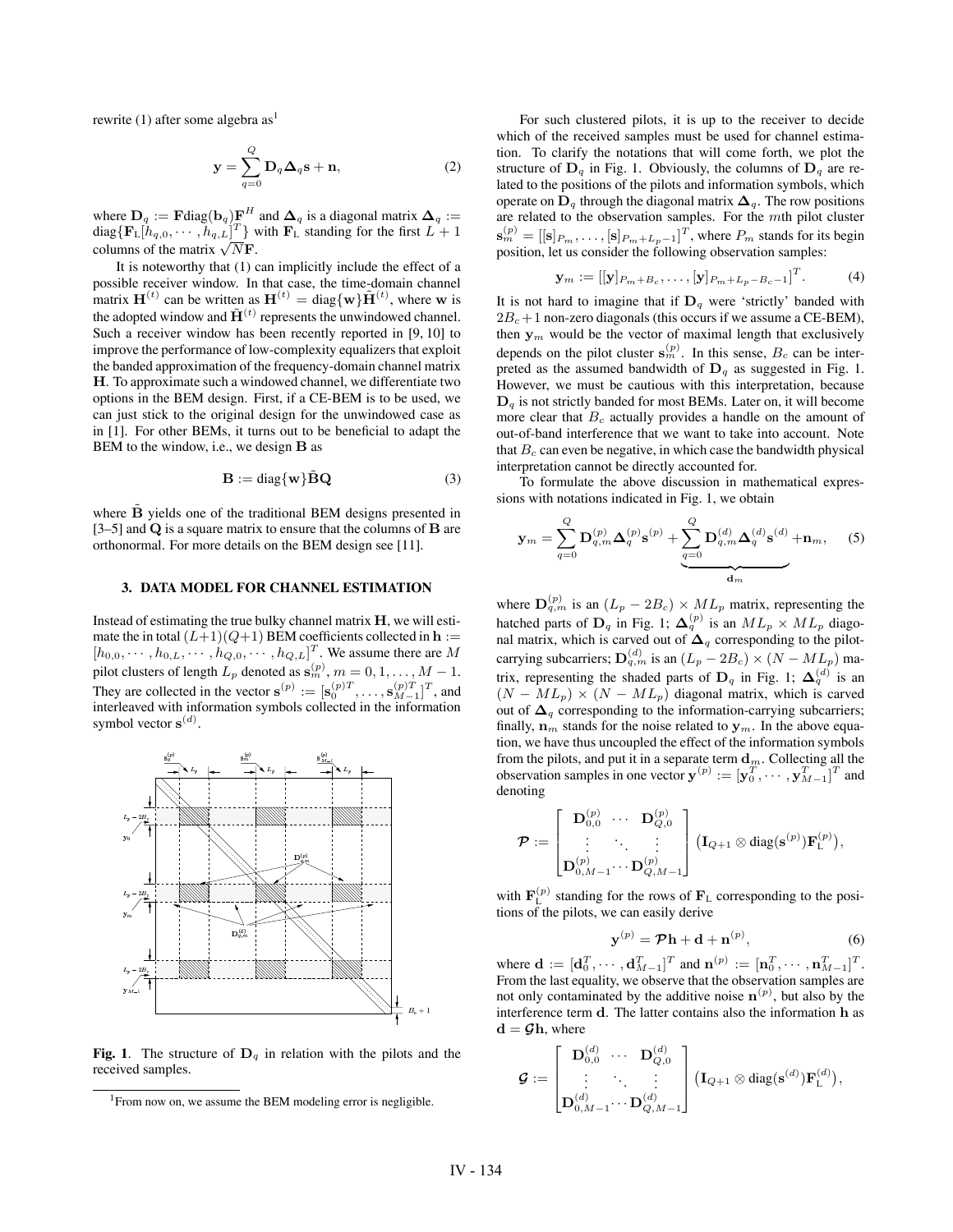rewrite  $(1)$  after some algebra as<sup>1</sup>

$$
\mathbf{y} = \sum_{q=0}^{Q} \mathbf{D}_q \mathbf{\Delta}_q \mathbf{s} + \mathbf{n},\tag{2}
$$

where  $\mathbf{D}_q := \mathbf{F} \text{diag}(\mathbf{b}_q) \mathbf{F}^H$  and  $\mathbf{\Delta}_q$  is a diagonal matrix  $\mathbf{\Delta}_q :=$  $diag\{\mathbf{F}_{\perp}[h_{q,0},\cdots,h_{q,L}]^T\}$  with  $\mathbf{F}_{\perp}$  standing for the first  $L+1$ columns of the matrix  $\sqrt{N}$ **F**.

It is noteworthy that (1) can implicitly include the effect of a possible receiver window. In that case, the time-domain channel matrix  $\mathbf{H}^{(t)}$  can be written as  $\mathbf{H}^{(t)} = \text{diag}\{\mathbf{w}\}\tilde{\mathbf{H}}^{(t)}$ , where **w** is the adopted window and  $\tilde{\mathbf{H}}^{(t)}$  represents the unwindowed channel. Such a receiver window has been recently reported in [9, 10] to improve the performance of low-complexity equalizers that exploit the banded approximation of the frequency-domain channel matrix **H**. To approximate such a windowed channel, we differentiate two options in the BEM design. First, if a CE-BEM is to be used, we can just stick to the original design for the unwindowed case as in [1]. For other BEMs, it turns out to be beneficial to adapt the BEM to the window, i.e., we design **B** as

$$
\mathbf{B} := \text{diag}\{\mathbf{w}\}\tilde{\mathbf{B}}\mathbf{Q} \tag{3}
$$

where **B** yields one of the traditional BEM designs presented in [3–5] and **Q** is a square matrix to ensure that the columns of **B** are orthonormal. For more details on the BEM design see [11].

### **3. DATA MODEL FOR CHANNEL ESTIMATION**

Instead of estimating the true bulky channel matrix **H**, we will estimate the in total  $(L+1)(Q+1)$  BEM coefficients collected in  $h :=$  $[h_{0,0}, \cdots, h_{0,L}, \cdots, h_{Q,0}, \cdots, h_{Q,L}]^T$ . We assume there are M pilot clusters of length  $L_p$  denoted as  $\mathbf{s}_m^{(p)}$ ,  $m = 0, 1, ..., M - 1$ . They are collected in the vector  $\mathbf{s}^{(p)} := [\mathbf{s}_0^{(p)T}, \dots, \mathbf{s}_{M-1}^{(p)T}]^T$ , and interleaved with information symbols collected in the information symbol vector  $\mathbf{s}^{(d)}$ .



**Fig. 1.** The structure of  $D_q$  in relation with the pilots and the received samples.

For such clustered pilots, it is up to the receiver to decide which of the received samples must be used for channel estimation. To clarify the notations that will come forth, we plot the structure of  $D_q$  in Fig. 1. Obviously, the columns of  $D_q$  are related to the positions of the pilots and information symbols, which operate on  $D_q$  through the diagonal matrix  $\Delta_q$ . The row positions are related to the observation samples. For the mth pilot cluster  $\mathbf{s}_{m}^{(p)} = [[\mathbf{s}]_{P_m}, \dots, [\mathbf{s}]_{P_m+L_p-1}]^T$ , where  $P_m$  stands for its begin position, let us consider the following observation samples:

$$
\mathbf{y}_m := [[\mathbf{y}]_{P_m + B_c}, \dots, [\mathbf{y}]_{P_m + L_p - B_c - 1}]^T.
$$
 (4)

It is not hard to imagine that if  $D_q$  were 'strictly' banded with  $2B_c+1$  non-zero diagonals (this occurs if we assume a CE-BEM), then  $y_m$  would be the vector of maximal length that exclusively depends on the pilot cluster  $\mathbf{s}_{m}^{(p)}$ . In this sense,  $B_c$  can be interpreted as the assumed bandwidth of  $D_q$  as suggested in Fig. 1. However, we must be cautious with this interpretation, because  $\mathbf{D}_q$  is not strictly banded for most BEMs. Later on, it will become more clear that  $B_c$  actually provides a handle on the amount of out-of-band interference that we want to take into account. Note that  $B<sub>c</sub>$  can even be negative, in which case the bandwidth physical interpretation cannot be directly accounted for.

To formulate the above discussion in mathematical expressions with notations indicated in Fig. 1, we obtain

$$
\mathbf{y}_m = \sum_{q=0}^Q \mathbf{D}_{q,m}^{(p)} \mathbf{\Delta}_q^{(p)} \mathbf{s}^{(p)} + \underbrace{\sum_{q=0}^Q \mathbf{D}_{q,m}^{(d)} \mathbf{\Delta}_q^{(d)} \mathbf{s}^{(d)}}_{\mathbf{d}_m} + \mathbf{n}_m, \quad (5)
$$

where  $\mathbf{D}_{q,m}^{(p)}$  is an  $(L_p - 2B_c) \times ML_p$  matrix, representing the hatched parts of  $D_q$  in Fig. 1;  $\Delta_q^{(p)}$  is an  $ML_p \times ML_p$  diagonal matrix, which is carved out of  $\Delta_q$  corresponding to the pilotcarrying subcarriers;  $\mathbf{D}_{q,m}^{(d)}$  is an  $(L_p - 2B_c) \times (N - ML_p)$  matrix, representing the shaded parts of  $D_q$  in Fig. 1;  $\Delta_q^{(d)}$  is an  $(N - ML_p) \times (N - ML_p)$  diagonal matrix, which is carved out of  $\Delta_q$  corresponding to the information-carrying subcarriers; finally,  $\mathbf{n}_m$  stands for the noise related to  $\mathbf{y}_m$ . In the above equation, we have thus uncoupled the effect of the information symbols from the pilots, and put it in a separate term  $\mathbf{d}_m$ . Collecting all the observation samples in one vector  $\mathbf{y}^{(p)} := [\mathbf{y}_0^T, \cdots, \mathbf{y}_{M-1}^T]^T$  and denoting

$$
\boldsymbol{\mathcal{P}} := \begin{bmatrix} \mathbf{D}_{0,0}^{(p)} & \cdots & \mathbf{D}_{Q,0}^{(p)} \\ \vdots & \ddots & \vdots \\ \mathbf{D}_{0,M-1}^{(p)} \cdots & \mathbf{D}_{Q,M-1}^{(p)} \end{bmatrix} (\mathbf{I}_{Q+1} \otimes \text{diag}(\mathbf{s}^{(p)}) \mathbf{F}_{\text{L}}^{(p)}),
$$

with  $\mathbf{F}_{\text{L}}^{(p)}$  standing for the rows of  $\mathbf{F}_{\text{L}}$  corresponding to the positions of the pilots, we can easily derive

$$
\mathbf{y}^{(p)} = \mathcal{P}\mathbf{h} + \mathbf{d} + \mathbf{n}^{(p)},\tag{6}
$$

where  $\mathbf{d} := [\mathbf{d}_0^T, \cdots, \mathbf{d}_{M-1}^T]^T$  and  $\mathbf{n}^{(p)} := [\mathbf{n}_0^T, \cdots, \mathbf{n}_{M-1}^T]^T$ . From the last equality, we observe that the observation samples are not only contaminated by the additive noise  $\mathbf{n}^{(p)}$ , but also by the interference term **d**. The latter contains also the information **h** as **, where** 

$$
\mathcal{G}:=\begin{bmatrix} \mathbf{D}_{0,0}^{(d)} & \cdots & \mathbf{D}_{Q,0}^{(d)} \\ \vdots & \ddots & \vdots \\ \mathbf{D}_{0,M-1}^{(d)} \cdots \mathbf{D}_{Q,M-1}^{(d)} \end{bmatrix} \big(\mathbf{I}_{Q+1}\otimes \text{diag}(\mathbf{s}^{(d)})\mathbf{F}_{\text{L}}^{(d)}\big),
$$

<sup>&</sup>lt;sup>1</sup> From now on, we assume the BEM modeling error is negligible.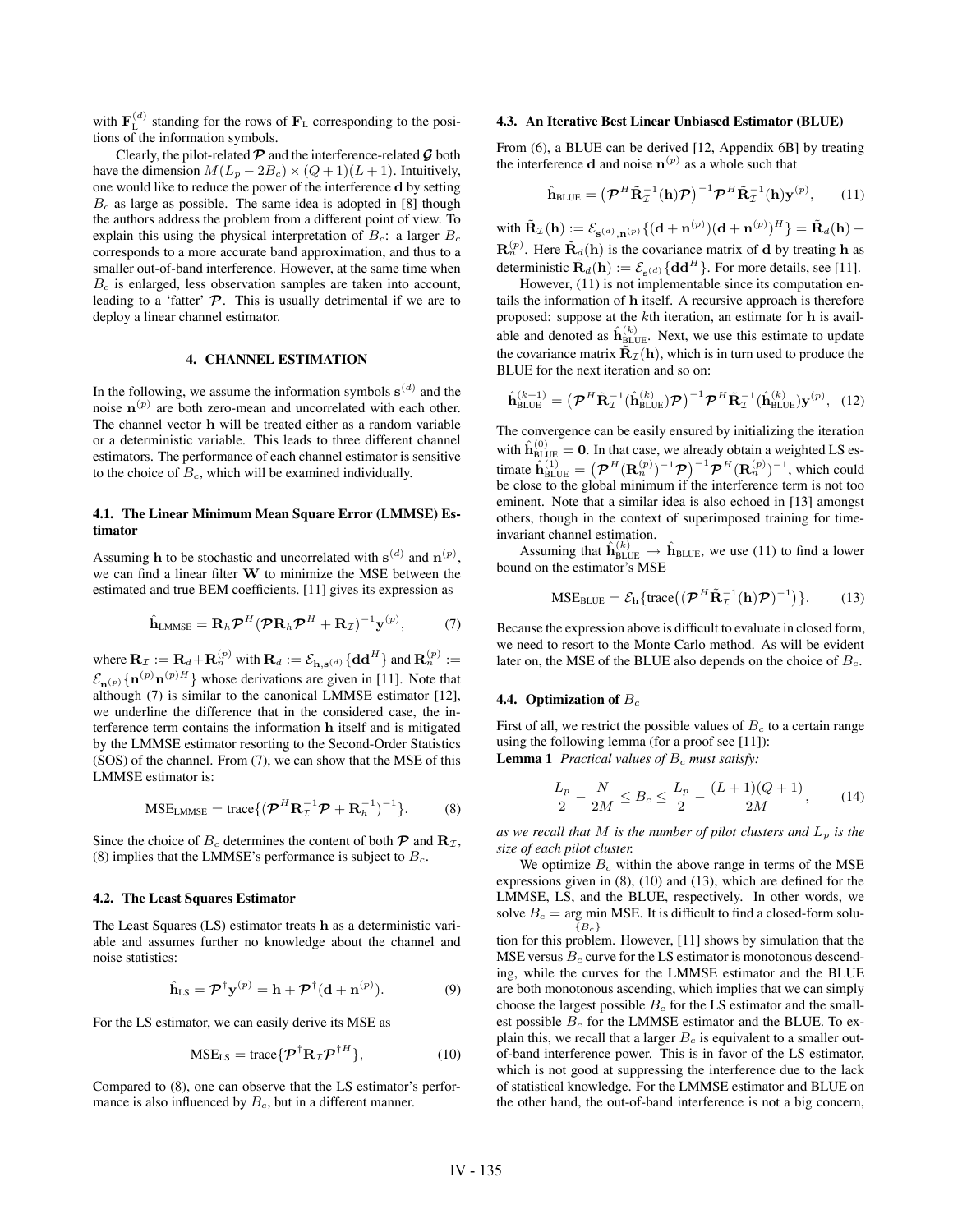with  $\mathbf{F}_{\text{L}}^{(d)}$  standing for the rows of  $\mathbf{F}_{\text{L}}$  corresponding to the positions of the information symbols.

Clearly, the pilot-related  $P$  and the interference-related  $G$  both have the dimension  $M(L_p - 2B_c) \times (Q + 1)(L + 1)$ . Intuitively, one would like to reduce the power of the interference **d** by setting  $B<sub>c</sub>$  as large as possible. The same idea is adopted in [8] though the authors address the problem from a different point of view. To explain this using the physical interpretation of  $B_c$ : a larger  $B_c$ corresponds to a more accurate band approximation, and thus to a smaller out-of-band interference. However, at the same time when  $B<sub>c</sub>$  is enlarged, less observation samples are taken into account, leading to a 'fatter' **P**. This is usually detrimental if we are to deploy a linear channel estimator.

## **4. CHANNEL ESTIMATION**

In the following, we assume the information symbols  $\mathbf{s}^{(d)}$  and the noise  $\mathbf{n}^{(p)}$  are both zero-mean and uncorrelated with each other. The channel vector **h** will be treated either as a random variable or a deterministic variable. This leads to three different channel estimators. The performance of each channel estimator is sensitive to the choice of  $B<sub>c</sub>$ , which will be examined individually.

## **4.1. The Linear Minimum Mean Square Error (LMMSE) Estimator**

Assuming **h** to be stochastic and uncorrelated with  $\mathbf{s}^{(d)}$  and  $\mathbf{n}^{(p)}$ , we can find a linear filter **W** to minimize the MSE between the estimated and true BEM coefficients. [11] gives its expression as

$$
\hat{\mathbf{h}}_{\text{LMMSE}} = \mathbf{R}_h \boldsymbol{\mathcal{P}}^H (\boldsymbol{\mathcal{P}} \mathbf{R}_h \boldsymbol{\mathcal{P}}^H + \mathbf{R}_{\mathcal{I}})^{-1} \mathbf{y}^{(p)}, \tag{7}
$$

where  $\mathbf{R}_I := \mathbf{R}_d + \mathbf{R}_n^{(p)}$  with  $\mathbf{R}_d := \mathcal{E}_{\mathbf{h}, \mathbf{s}^{(d)}} \{ \mathbf{d} \mathbf{d}^H \}$  and  $\mathbf{R}_n^{(p)} :=$  $\mathcal{E}_{\mathbf{n}^{(p)}}\{\mathbf{n}^{(p)}\mathbf{n}^{(p)H}\}\$  whose derivations are given in [11]. Note that although (7) is similar to the canonical LMMSE estimator [12], we underline the difference that in the considered case, the interference term contains the information **h** itself and is mitigated by the LMMSE estimator resorting to the Second-Order Statistics (SOS) of the channel. From (7), we can show that the MSE of this LMMSE estimator is:

$$
MSE_{LMMSE} = \text{trace}\{ (\boldsymbol{\mathcal{P}}^H \mathbf{R}_{\mathcal{I}}^{-1} \boldsymbol{\mathcal{P}} + \mathbf{R}_h^{-1})^{-1} \}.
$$
 (8)

Since the choice of  $B_c$  determines the content of both  $\mathcal{P}$  and  $\mathbf{R}_{\mathcal{I}}$ , (8) implies that the LMMSE's performance is subject to  $B_c$ .

#### **4.2. The Least Squares Estimator**

The Least Squares (LS) estimator treats **h** as a deterministic variable and assumes further no knowledge about the channel and noise statistics:

$$
\hat{\mathbf{h}}_{LS} = \mathcal{P}^{\dagger} \mathbf{y}^{(p)} = \mathbf{h} + \mathcal{P}^{\dagger} (\mathbf{d} + \mathbf{n}^{(p)}).
$$
 (9)

For the LS estimator, we can easily derive its MSE as

$$
MSE_{LS} = \text{trace}\{\boldsymbol{\mathcal{P}}^{\dagger} \mathbf{R}_{\mathcal{I}} \boldsymbol{\mathcal{P}}^{\dagger H}\},\qquad(10)
$$

Compared to (8), one can observe that the LS estimator's performance is also influenced by  $B_c$ , but in a different manner.

#### **4.3. An Iterative Best Linear Unbiased Estimator (BLUE)**

From (6), a BLUE can be derived [12, Appendix 6B] by treating the interference **d** and noise  $\mathbf{n}^{(p)}$  as a whole such that

$$
\hat{\mathbf{h}}_{\text{BLE}} = \left(\mathcal{P}^H \tilde{\mathbf{R}}_T^{-1}(\mathbf{h}) \mathcal{P}\right)^{-1} \mathcal{P}^H \tilde{\mathbf{R}}_T^{-1}(\mathbf{h}) \mathbf{y}^{(p)},\qquad(11)
$$

 $\tilde{\mathbf{R}}_{\mathcal{I}}(\mathbf{h}) := \mathcal{E}_{\mathbf{s}^{(d)}, \mathbf{n}^{(p)}} \{ (\mathbf{d} + \mathbf{n}^{(p)}) (\mathbf{d} + \mathbf{n}^{(p)})^H \} = \tilde{\mathbf{R}}_d(\mathbf{h}) + \mathbf{n}^{(p)}$  $\mathbf{R}_n^{(p)}$ . Here  $\tilde{\mathbf{R}}_d(\mathbf{h})$  is the covariance matrix of **d** by treating **h** as deterministic  $\tilde{\mathbf{R}}_d(\mathbf{h}) := \mathcal{E}_{\mathbf{s}^{(d)}}\{ \mathbf{d} \mathbf{d}^H \}$ . For more details, see [11].

However,  $(11)$  is not implementable since its computation entails the information of **h** itself. A recursive approach is therefore proposed: suppose at the kth iteration, an estimate for **h** is available and denoted as  $\hat{\mathbf{h}}_{\text{BLUE}}^{(k)}$ . Next, we use this estimate to update the covariance matrix  $\tilde{\mathbf{R}}_{\mathcal{I}}(\mathbf{h})$ , which is in turn used to produce the BLUE for the next iteration and so on:

$$
\hat{\mathbf{h}}_{\text{BLUE}}^{(k+1)} = \left(\boldsymbol{\mathcal{P}}^H \tilde{\mathbf{R}}_{\mathcal{I}}^{-1} (\hat{\mathbf{h}}_{\text{BLUE}}^{(k)}) \boldsymbol{\mathcal{P}}\right)^{-1} \boldsymbol{\mathcal{P}}^H \tilde{\mathbf{R}}_{\mathcal{I}}^{-1} (\hat{\mathbf{h}}_{\text{BLUE}}^{(k)}) \mathbf{y}^{(p)}, \quad (12)
$$

The convergence can be easily ensured by initializing the iteration with  $\hat{\mathbf{h}}_{\text{BLUE}}^{(0)} = \mathbf{0}$ . In that case, we already obtain a weighted LS estimate  $\widetilde{\mathbf{h}}_{\text{BLE}}^{(1)} = \left( \boldsymbol{\mathcal{P}}^H(\mathbf{R}_n^{(p)})^{-1}\boldsymbol{\mathcal{P}} \right)^{-1} \boldsymbol{\mathcal{P}}^H(\mathbf{R}_n^{(p)})^{-1}$ , which could be close to the global minimum if the interference term is not too eminent. Note that a similar idea is also echoed in [13] amongst others, though in the context of superimposed training for timeinvariant channel estimation.

Assuming that  $\hat{\mathbf{h}}_{\text{BLE}}^{(k)} \rightarrow \hat{\mathbf{h}}_{\text{BLE}}$ , we use (11) to find a lower bound on the estimator's MSE

$$
MSE_{\text{BLE}} = \mathcal{E}_{\mathbf{h}} \{ \text{trace} \big( (\boldsymbol{\mathcal{P}}^H \tilde{\mathbf{R}}_{\mathcal{I}}^{-1}(\mathbf{h}) \boldsymbol{\mathcal{P}})^{-1} \big) \}.
$$
 (13)

Because the expression above is difficult to evaluate in closed form, we need to resort to the Monte Carlo method. As will be evident later on, the MSE of the BLUE also depends on the choice of  $B<sub>c</sub>$ .

### **4.4. Optimization of**  $B_c$

First of all, we restrict the possible values of  $B<sub>c</sub>$  to a certain range using the following lemma (for a proof see [11]): **Lemma 1** *Practical values of*  $B_c$  *must satisfy:* 

$$
\frac{L_p}{2} - \frac{N}{2M} \le B_c \le \frac{L_p}{2} - \frac{(L+1)(Q+1)}{2M},\tag{14}
$$

as we recall that M is the number of pilot clusters and  $L_p$  is the *size of each pilot cluster.*

We optimize  $B<sub>c</sub>$  within the above range in terms of the MSE expressions given in (8), (10) and (13), which are defined for the LMMSE, LS, and the BLUE, respectively. In other words, we solve  $B_c = \text{arg min MSE}$ . It is difficult to find a closed-form solu- ${B_c}$ tion for this problem. However, [11] shows by simulation that the

MSE versus  $B<sub>c</sub>$  curve for the LS estimator is monotonous descending, while the curves for the LMMSE estimator and the BLUE are both monotonous ascending, which implies that we can simply choose the largest possible  $B_c$  for the LS estimator and the smallest possible  $B_c$  for the LMMSE estimator and the BLUE. To explain this, we recall that a larger  $B_c$  is equivalent to a smaller outof-band interference power. This is in favor of the LS estimator, which is not good at suppressing the interference due to the lack of statistical knowledge. For the LMMSE estimator and BLUE on the other hand, the out-of-band interference is not a big concern,